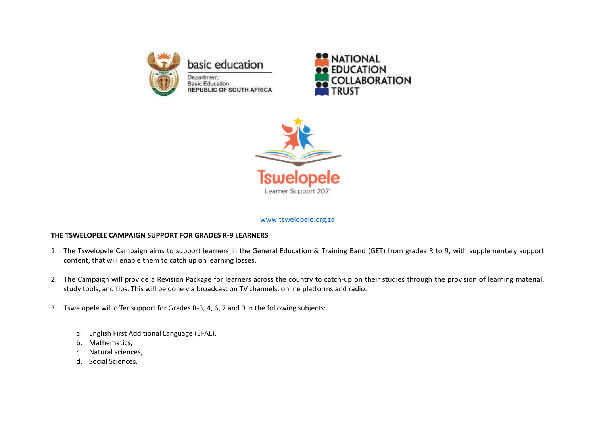

basic education Department: **Basic Education REPUBLIC OF SOUTH AFRICA** 





### [www.tswelopele.org.za](http://www.tswelopele.org.za/)

### **THE TSWELOPELE CAMPAIGN SUPPORT FOR GRADES R-9 LEARNERS**

- 1. The Tswelopele Campaign aims to support learners in the General Education & Training Band (GET) from grades R to 9, with supplementary support content, that will enable them to catch up on learning losses.
- 2. The Campaign will provide a Revision Package for learners across the country to catch-up on their studies through the provision of learning material, study tools, and tips. This will be done via broadcast on TV channels, online platforms and radio.
- 3. Tswelopele will offer support for Grades R-3, 4, 6, 7 and 9 in the following subjects:
	- a. English First Additional Language (EFAL),
	- b. Mathematics,
	- c. Natural sciences,
	- d. Social Sciences.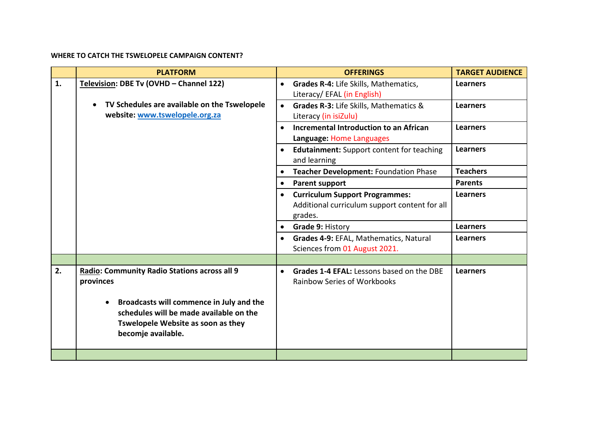### **WHERE TO CATCH THE TSWELOPELE CAMPAIGN CONTENT?**

|    | <b>PLATFORM</b>                                                                                                                                                                                                     | <b>OFFERINGS</b>                                                                                               | <b>TARGET AUDIENCE</b> |
|----|---------------------------------------------------------------------------------------------------------------------------------------------------------------------------------------------------------------------|----------------------------------------------------------------------------------------------------------------|------------------------|
| 1. | Television: DBE Tv (OVHD - Channel 122)                                                                                                                                                                             | Grades R-4: Life Skills, Mathematics,<br>$\bullet$<br>Literacy/ EFAL (in English)                              | <b>Learners</b>        |
|    | TV Schedules are available on the Tswelopele<br>website: www.tswelopele.org.za                                                                                                                                      | Grades R-3: Life Skills, Mathematics &<br>$\bullet$<br>Literacy (in isiZulu)                                   | <b>Learners</b>        |
|    |                                                                                                                                                                                                                     | Incremental Introduction to an African<br>$\bullet$<br>Language: Home Languages                                | <b>Learners</b>        |
|    |                                                                                                                                                                                                                     | <b>Edutainment:</b> Support content for teaching<br>$\bullet$<br>and learning                                  | <b>Learners</b>        |
|    |                                                                                                                                                                                                                     | Teacher Development: Foundation Phase                                                                          | <b>Teachers</b>        |
|    |                                                                                                                                                                                                                     | <b>Parent support</b><br>$\bullet$                                                                             | <b>Parents</b>         |
|    |                                                                                                                                                                                                                     | <b>Curriculum Support Programmes:</b><br>$\bullet$<br>Additional curriculum support content for all<br>grades. | <b>Learners</b>        |
|    |                                                                                                                                                                                                                     | Grade 9: History<br>$\bullet$                                                                                  | <b>Learners</b>        |
|    |                                                                                                                                                                                                                     | Grades 4-9: EFAL, Mathematics, Natural<br>$\bullet$<br>Sciences from 01 August 2021.                           | <b>Learners</b>        |
|    |                                                                                                                                                                                                                     |                                                                                                                |                        |
| 2. | <b>Radio: Community Radio Stations across all 9</b><br>provinces<br>Broadcasts will commence in July and the<br>schedules will be made available on the<br>Tswelopele Website as soon as they<br>becomje available. | Grades 1-4 EFAL: Lessons based on the DBE<br>$\bullet$<br>Rainbow Series of Workbooks                          | <b>Learners</b>        |
|    |                                                                                                                                                                                                                     |                                                                                                                |                        |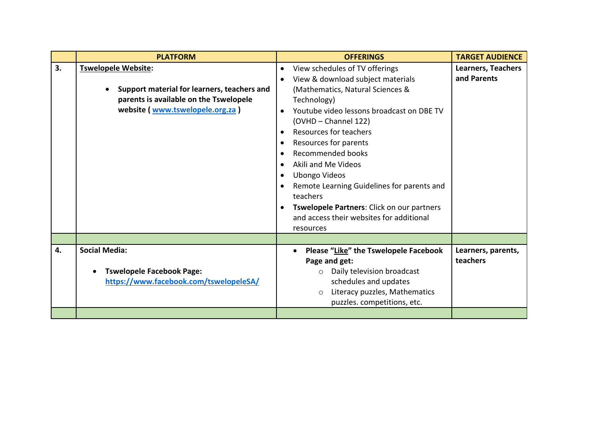|    | <b>PLATFORM</b>                                                                                                                                 | <b>OFFERINGS</b>                                                                                                                                                                                                                                                                                                                                                                                                                                                                                 | <b>TARGET AUDIENCE</b>                   |
|----|-------------------------------------------------------------------------------------------------------------------------------------------------|--------------------------------------------------------------------------------------------------------------------------------------------------------------------------------------------------------------------------------------------------------------------------------------------------------------------------------------------------------------------------------------------------------------------------------------------------------------------------------------------------|------------------------------------------|
| 3. | Tswelopele Website:<br>Support material for learners, teachers and<br>parents is available on the Tswelopele<br>website (www.tswelopele.org.za) | View schedules of TV offerings<br>$\bullet$<br>View & download subject materials<br>(Mathematics, Natural Sciences &<br>Technology)<br>Youtube video lessons broadcast on DBE TV<br>(OVHD - Channel 122)<br>Resources for teachers<br>Resources for parents<br>Recommended books<br>Akili and Me Videos<br><b>Ubongo Videos</b><br>Remote Learning Guidelines for parents and<br>teachers<br>Tswelopele Partners: Click on our partners<br>and access their websites for additional<br>resources | <b>Learners, Teachers</b><br>and Parents |
|    |                                                                                                                                                 |                                                                                                                                                                                                                                                                                                                                                                                                                                                                                                  |                                          |
| 4. | <b>Social Media:</b><br><b>Tswelopele Facebook Page:</b><br>https://www.facebook.com/tswelopeleSA/                                              | Please "Like" the Tswelopele Facebook<br>Page and get:<br>Daily television broadcast<br>$\circ$<br>schedules and updates<br>Literacy puzzles, Mathematics<br>$\circ$<br>puzzles. competitions, etc.                                                                                                                                                                                                                                                                                              | Learners, parents,<br>teachers           |
|    |                                                                                                                                                 |                                                                                                                                                                                                                                                                                                                                                                                                                                                                                                  |                                          |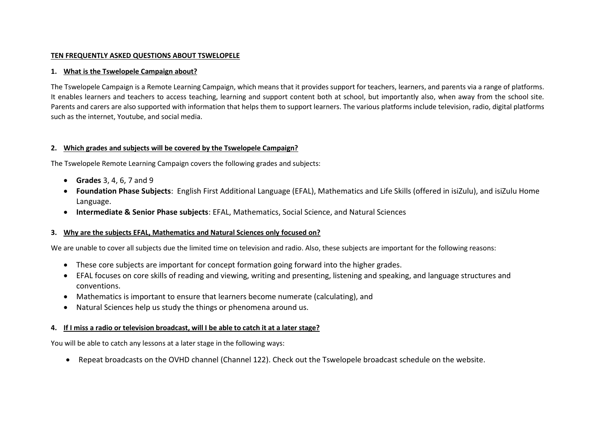### **TEN FREQUENTLY ASKED QUESTIONS ABOUT TSWELOPELE**

#### **1. What is the Tswelopele Campaign about?**

The Tswelopele Campaign is a Remote Learning Campaign, which means that it provides support for teachers, learners, and parents via a range of platforms. It enables learners and teachers to access teaching, learning and support content both at school, but importantly also, when away from the school site. Parents and carers are also supported with information that helps them to support learners. The various platforms include television, radio, digital platforms such as the internet, Youtube, and social media.

### **2. Which grades and subjects will be covered by the Tswelopele Campaign?**

The Tswelopele Remote Learning Campaign covers the following grades and subjects:

- **Grades** 3, 4, 6, 7 and 9
- **Foundation Phase Subjects**: English First Additional Language (EFAL), Mathematics and Life Skills (offered in isiZulu), and isiZulu Home Language.
- **Intermediate & Senior Phase subjects**: EFAL, Mathematics, Social Science, and Natural Sciences

### **3. Why are the subjects EFAL, Mathematics and Natural Sciences only focused on?**

We are unable to cover all subjects due the limited time on television and radio. Also, these subjects are important for the following reasons:

- These core subjects are important for concept formation going forward into the higher grades.
- EFAL focuses on core skills of reading and viewing, writing and presenting, listening and speaking, and language structures and conventions.
- Mathematics is important to ensure that learners become numerate (calculating), and
- Natural Sciences help us study the things or phenomena around us.

### **4. If I miss a radio or television broadcast, will I be able to catch it at a later stage?**

You will be able to catch any lessons at a later stage in the following ways:

Repeat broadcasts on the OVHD channel (Channel 122). Check out the Tswelopele broadcast schedule on the website.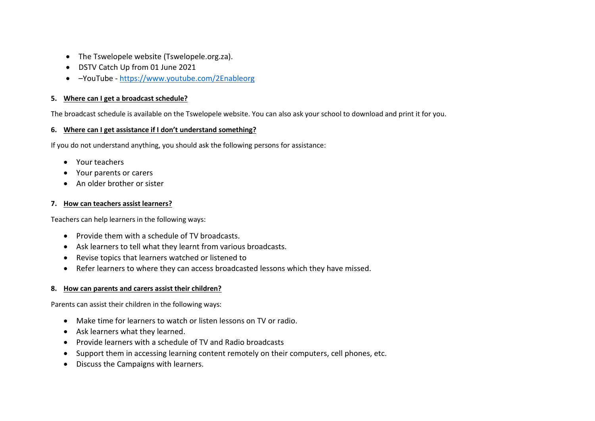- The Tswelopele website (Tswelopele.org.za).
- DSTV Catch Up from 01 June 2021
- –YouTube <https://www.youtube.com/2Enableorg>

# **5. Where can I get a broadcast schedule?**

The broadcast schedule is available on the Tswelopele website. You can also ask your school to download and print it for you.

# **6. Where can I get assistance if I don't understand something?**

If you do not understand anything, you should ask the following persons for assistance:

- Your teachers
- Your parents or carers
- An older brother or sister

# **7. How can teachers assist learners?**

Teachers can help learners in the following ways:

- Provide them with a schedule of TV broadcasts.
- Ask learners to tell what they learnt from various broadcasts.
- Revise topics that learners watched or listened to
- Refer learners to where they can access broadcasted lessons which they have missed.

# **8. How can parents and carers assist their children?**

Parents can assist their children in the following ways:

- Make time for learners to watch or listen lessons on TV or radio.
- Ask learners what they learned.
- Provide learners with a schedule of TV and Radio broadcasts
- Support them in accessing learning content remotely on their computers, cell phones, etc.
- Discuss the Campaigns with learners.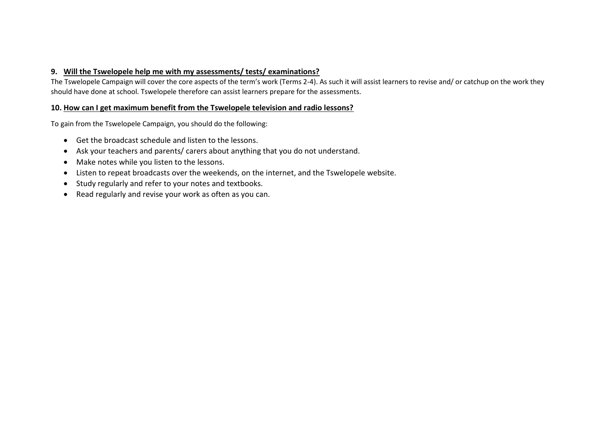# **9. Will the Tswelopele help me with my assessments/ tests/ examinations?**

The Tswelopele Campaign will cover the core aspects of the term's work (Terms 2-4). As such it will assist learners to revise and/ or catchup on the work they should have done at school. Tswelopele therefore can assist learners prepare for the assessments.

### **10. How can I get maximum benefit from the Tswelopele television and radio lessons?**

To gain from the Tswelopele Campaign, you should do the following:

- Get the broadcast schedule and listen to the lessons.
- Ask your teachers and parents/ carers about anything that you do not understand.
- Make notes while you listen to the lessons.
- Listen to repeat broadcasts over the weekends, on the internet, and the Tswelopele website.
- Study regularly and refer to your notes and textbooks.
- Read regularly and revise your work as often as you can.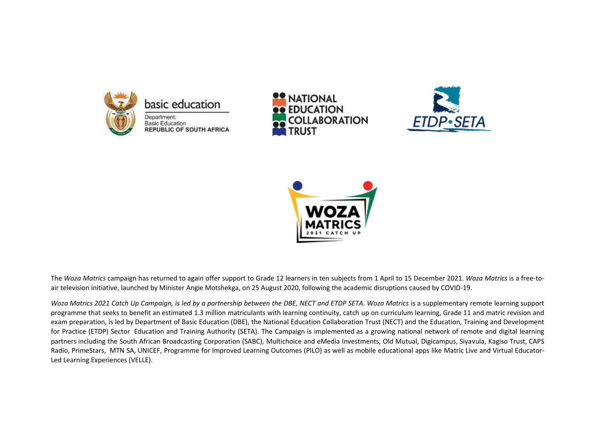







The *Woza Matrics* campaign has returned to again offer support to Grade 12 learners in ten subjects from 1 April to 15 December 2021. *Woza Matrics* is a free-toair television initiative, launched by Minister Angie Motshekga, on 25 August 2020, following the academic disruptions caused by COVID-19.

*Woza Matrics 2021 Catch Up Campaign, is led by a partnership between the DBE, NECT and ETDP SETA. Woza Matrics is a supplementary remote learning support* programme that seeks to benefit an estimated 1.3 million matriculants with learning continuity, catch up on curriculum learning, Grade 11 and matric revision and exam preparation, is led by Department of Basic Education (DBE), the National Education Collaboration Trust (NECT) and the Education, Training and Development for Practice (ETDP) Sector Education and Training Authority (SETA). The Campaign is implemented as a growing national network of remote and digital learning partners including the South African Broadcasting Corporation (SABC), Multichoice and eMedia Investments, Old Mutual, Digicampus, Siyavula, Kagiso Trust, CAPS Radio, PrimeStars, MTN SA, UNICEF, Programme for Improved Learning Outcomes (PILO) as well as mobile educational apps like Matric Live and Virtual Educator-Led Learning Experiences (VELLE).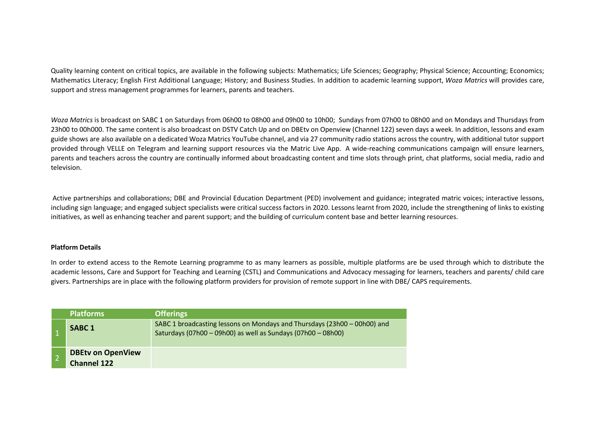Quality learning content on critical topics, are available in the following subjects: Mathematics; Life Sciences; Geography; Physical Science; Accounting; Economics; Mathematics Literacy; English First Additional Language; History; and Business Studies. In addition to academic learning support, *Woza Matrics* will provides care, support and stress management programmes for learners, parents and teachers.

*Woza Matrics* is broadcast on SABC 1 on Saturdays from 06h00 to 08h00 and 09h00 to 10h00; Sundays from 07h00 to 08h00 and on Mondays and Thursdays from 23h00 to 00h000. The same content is also broadcast on DSTV Catch Up and on DBEtv on Openview (Channel 122) seven days a week. In addition, lessons and exam guide shows are also available on a dedicated Woza Matrics YouTube channel, and via 27 community radio stations across the country, with additional tutor support provided through VELLE on Telegram and learning support resources via the Matric Live App. A wide-reaching communications campaign will ensure learners, parents and teachers across the country are continually informed about broadcasting content and time slots through print, chat platforms, social media, radio and television.

Active partnerships and collaborations; DBE and Provincial Education Department (PED) involvement and guidance; integrated matric voices; interactive lessons, including sign language; and engaged subject specialists were critical success factors in 2020. Lessons learnt from 2020, include the strengthening of links to existing initiatives, as well as enhancing teacher and parent support; and the building of curriculum content base and better learning resources.

#### **Platform Details**

In order to extend access to the Remote Learning programme to as many learners as possible, multiple platforms are be used through which to distribute the academic lessons, Care and Support for Teaching and Learning (CSTL) and Communications and Advocacy messaging for learners, teachers and parents/ child care givers. Partnerships are in place with the following platform providers for provision of remote support in line with DBE/ CAPS requirements.

| <b>Platforms</b>                               | <b>Offerings</b>                                                                                                                         |
|------------------------------------------------|------------------------------------------------------------------------------------------------------------------------------------------|
| <b>SABC1</b>                                   | SABC 1 broadcasting lessons on Mondays and Thursdays (23h00 – 00h00) and<br>Saturdays (07h00 - 09h00) as well as Sundays (07h00 - 08h00) |
| <b>DBEtv on OpenView</b><br><b>Channel 122</b> |                                                                                                                                          |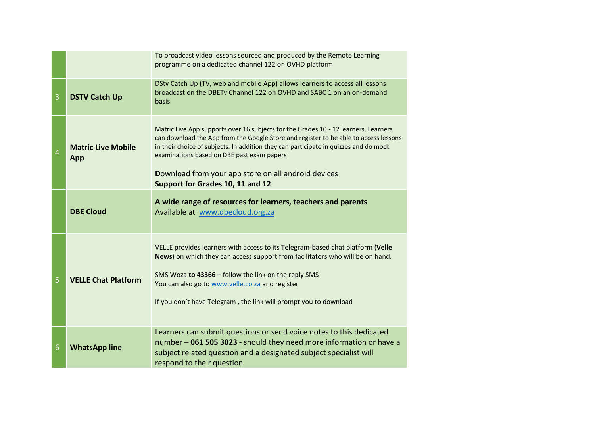|                |                                  | To broadcast video lessons sourced and produced by the Remote Learning<br>programme on a dedicated channel 122 on OVHD platform                                                                                                                                                                                                                                                                              |
|----------------|----------------------------------|--------------------------------------------------------------------------------------------------------------------------------------------------------------------------------------------------------------------------------------------------------------------------------------------------------------------------------------------------------------------------------------------------------------|
| 3              | <b>DSTV Catch Up</b>             | DStv Catch Up (TV, web and mobile App) allows learners to access all lessons<br>broadcast on the DBETy Channel 122 on OVHD and SABC 1 on an on-demand<br>basis                                                                                                                                                                                                                                               |
| $\overline{4}$ | <b>Matric Live Mobile</b><br>App | Matric Live App supports over 16 subjects for the Grades 10 - 12 learners. Learners<br>can download the App from the Google Store and register to be able to access lessons<br>in their choice of subjects. In addition they can participate in quizzes and do mock<br>examinations based on DBE past exam papers<br>Download from your app store on all android devices<br>Support for Grades 10, 11 and 12 |
|                | <b>DBE Cloud</b>                 | A wide range of resources for learners, teachers and parents<br>Available at www.dbecloud.org.za                                                                                                                                                                                                                                                                                                             |
| 5              | <b>VELLE Chat Platform</b>       | VELLE provides learners with access to its Telegram-based chat platform (Velle<br>News) on which they can access support from facilitators who will be on hand.<br>SMS Woza to 43366 - follow the link on the reply SMS<br>You can also go to www.velle.co.za and register<br>If you don't have Telegram, the link will prompt you to download                                                               |
| 6              | <b>WhatsApp line</b>             | Learners can submit questions or send voice notes to this dedicated<br>number - 061 505 3023 - should they need more information or have a<br>subject related question and a designated subject specialist will<br>respond to their question                                                                                                                                                                 |